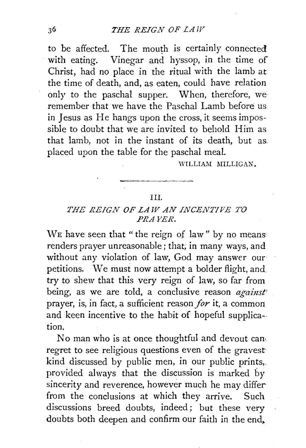to be affected. The mouth is certainly connected with eating. Vinegar and hyssop, in the time of Christ, had no place in the ritual with the lamb at the time of death, and, as eaten, could have relation only to the paschal supper. When, therefore, we remember that we have the Paschal Lamb before us in Jesus as He hangs upon the cross, it seems impossible to doubt that we are invited to behold Him as that lamb, not in the instant of its death, but as. placed upon the table for the paschal meal.

WILLIAM MILLIGAN.

## III.

## *THE REIGN OF LAW AN INCENTJPE TO PRAYER.*

WE have seen that "the reign of law" by no means renders prayer unreasonable; that, in many ways, and without any violation of law, God may answer our petitions. We must now attempt a bolder flight, and try to shew that this very reign of law, so far from being, as we are told, a conclusive reason *against* prayer, is, in fact, a sufficient reason *for* it. a common and keen incentive to the habit of hopeful supplica-. tion.

No man who is at once thoughtful and devout can· regret to see religious questions even of the gravest kind discussed by public men, in our public prints,. provided always that the discussion is marked by sincerity and reverence, however much he may differ from the conclusions at which they arrive. Such discussions breed doubts, indeed; but these very doubts both deepen and confirm our faith in the end,.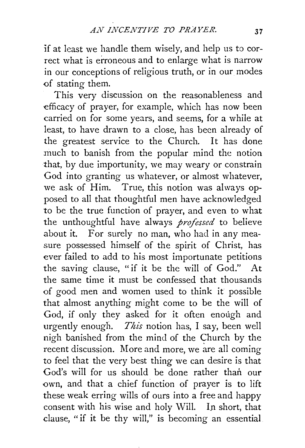if at least we handle them wisely, and help us to correct what is erroneous and to enlarge what is narrow in our conceptions of religious truth, or in our modes of stating them.

This very discussion on the reasonableness and -efficacy of prayer, for example, which has now been carried on for some years, and seems, for a while at least, to have drawn to a close, has been already of the greatest service to the Church. It has done much to banish from the popular mind the notion that, by due importunity, we may weary or constrain God into granting us whatever, or almost whatever, we ask of Him. True, this notion was always opposed to all that thoughtful men have acknowledged to be the true function of prayer, and even to what the unthoughtful have always *professed* to believe about it. For surely no man, who had in any measure possessed himself of the spirit of Christ, has ever failed to add to his most importunate petitions the saving clause, "if it be the will of God." At the same time it must be confessed that thousands of good men and women used to think it possible that almost anything might come to be the will of God, if only they asked for it often enough and urgently enough. *This* notion has, I say, been well nigh banished from the mind of the Church by the recent discussion. More and more, we are all coming to feel that the very best thing we can desire is that God's will for us should be done rather than our own, and that a chief function of prayer is to lift these weak erring wills of ours into a free and happy consent with his wise and holy Will. In short, that clause, "if it be thy will," is becoming an essential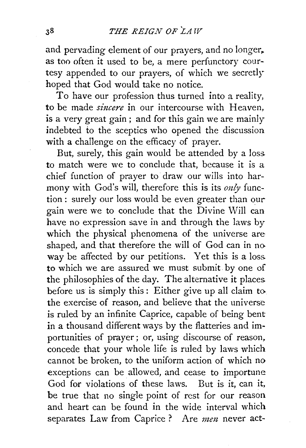and pervading element of our prayers, and no longer,. as too often it used to be, a mere perfunctory courtesy appended to our prayers, of which we secretlyhoped that God would take no notice.

To have our profession thus turned into a reality, to be made *sincere* in our intercourse with Heaven. is a very great gain; and for this gain we are mainly indebted to the sceptics who opened the discussion with a challenge on the efficacy of prayer.

But, surely, this gain would be attended by a loss to match were we to conclude that, because it is a chief function of prayer to draw our wills into harmony with God's will, therefore this is its *only* function: surely our loss would be even greater than our gain were we to conclude that the Divine Will can have no expression save in and through the laws by which the physical phenomena of the universe are shaped, and that therefore the will of God can in no way be affected by our petitions. Yet this is a loss. to which we are assured we must submit by one of the philosophies of the day. The alternative it places. before us is simply this : Either give up all claim to the exercise of reason, and believe that the universe is ruled by an infinite Caprice, capable of being bent in a thousand different ways by the flatteries and importunities of prayer ; or, using discourse of reason, concede that your whole life is ruled by laws which cannot be broken, to the uniform action of which no exceptions can be allowed, and cease to importune God for violations of these laws. But is it, can it, be true that no single point of rest for our reason and heart can be found in the wide interval which separates Law from Caprice? Are *men* never act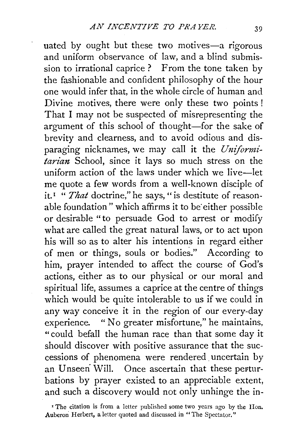uated by ought but these two motives-a rigorous and uniform observance of law, and a blind submission to irrational caprice ? From the tone taken by the fashionable and confident philosophy of the hour one would infer that, in the whole circle of human and Divine motives, there were only these two points ! That I may not be suspected of misrepresenting the argument of this school of thought-for the sake of brevity and clearness, and to avoid odious and disparaging nicknames, we may call it the *Unifornzitarian* School, since it lays so much stress on the uniform action of the laws under which we live-let me quote a few words from a well-known disciple of it.<sup>1</sup> "That doctrine," he says, " is destitute of reasonable foundation" which affirms it to be either possible or desirable "to persuade God to arrest or modify what are called the great natural laws, or to act upon his will so as to alter his intentions in regard either of men or things, souls or bodies." According to him, prayer intended to affect the course of God's actions, either as to our physical or our moral and spiritual life, assumes a caprice at the centre of things which would be quite intolerable to us if we could in any way conceive it in the region of our every-day experience. " No greater misfortune," he maintains, "could befall the human race than that some day it should discover with positive assurance that the suecessions of phenomena were rendered . uncertain by an Unseen Will. Once ascertain that these perturbations by prayer existed to an appreciable extent, and such a discovery would not only unhinge the in-

<sup>&</sup>lt;sup>I</sup> The citation is from a letter published some two years ago by the Hon. Auberon Herbert, a letter quoted and discussed in "The Spectator."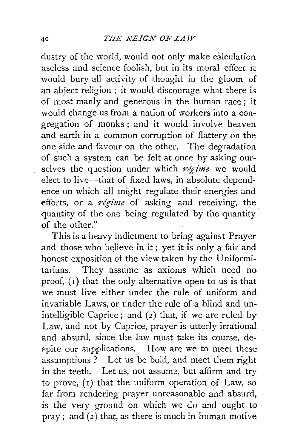dustry of the world, would not only make calculation useless and science foolish, but in its moral effect it would bury all activity of thought in the gloom of an abject religion ; it would. discourage what there is of most manly and generous in the human race; it would change us from a nation of workers into a congregation of monks ; and it would involve heaven and earth in a common corruption of flattery on the oneside and favour on the other. The degradation of such a system can be felt at once by asking ourselves the question under which *regime* we would elect to live-that of fixed laws, in absolute dependence on which all might regulate their energies and efforts, or a *regime* of asking and receiving, the quantity of the one being regulated by the quantity of the other."

This is a heavy indictment to bring against Prayer and those who believe in it; yet it is only a fair and honest exposition of the view taken by the Uniformitarians. They assume as axioms which need no proof,  $(i)$  that the only alternative open to us is that we must live either under the rule of uniform and invariable Laws, or under the rule of a blind and unintelligible Caprice; and (2) that, if we are ruled by Law, and not by Caprice, prayer is utterly irrational and absurd, since the law must take its course, despite our supplications. How are we to meet these assumptions ? Let us be bold, and meet them right in the teeth. Let us, not assume, but affirm and try to prove, (I) that the uniform operation of Law, so far from rendering prayer unreasonable and absurd, is the very ground on which we do and ought to pray; and (2) that, as there is much in human motive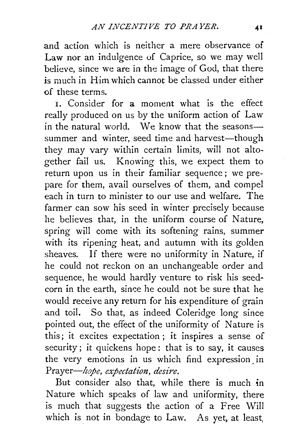and action which is neither a mere observance of Law nor an indulgence of Caprice, so we may well believe, since we are in the image of God, that there is much in Him which cannot be classed under either of these terms.

I. Consider for a moment what is the effect really produced on us by the uniform action of Law in the natural world. We know that the seasonssummer and winter, seed time and harvest-though they may vary within certain limits, will not altogether fail us. Knowing this, we expect them to return upon us in their familiar sequence; we prepare for them, avail ourselves of them, and compel each in turn to minister to our use and welfare. The farmer can sow his seed in winter precisely because he believes that, in the uniform course of Nature, spring will come with its softening rains, summer with its ripening heat, and autumn with its golden sheaves. If there were no uniformity in Nature, if he could not reckon on an unchangeable order and sequence, he would hardly venture to risk his seedcorn in the earth, since he could not be sure that he would receive any return for his expenditure of grain and toil. So that, as indeed Coleridge long since pointed out, the effect of the uniformity of Nature is this; it excites expectation ; it inspires a sense of security; it quickens hope: that is to say, it causes the very emotions in us which find expression. in *Prayer-hope, expectation, desire.* 

But consider also that, while there is much in Nature which speaks of law and uniformity, there is much that suggests the action of a Free Will which is not in bondage to Law. As yet, at least,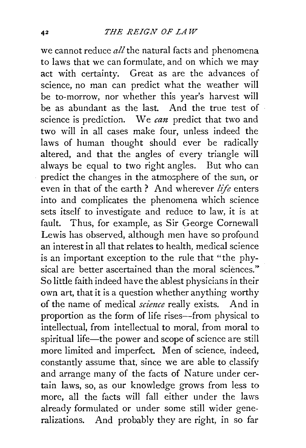we cannot reduce *all* the natural facts and phenomena to laws that we can formulate, and on which we may act with certainty. Great as are the advances of science, no man can predict what the weather will be to-morrow, nor whether this year's harvest will be as abundant as the last. And the true test of science is prediction. We *can* predict that two and two will in all cases make four, unless indeed the laws of human thought should ever be radically altered, and that the angles of every triangle will always be equal to two right angles. But who can predict the changes in the atmosphere of the sun, or even in that of the earth ? And wherever *life* enters into and complicates the phenomena which science sets itself to investigate and reduce to law, it is at fault. Thus, for example, as Sir George Cornewall Lewis has observed, although men have so profound an interest in all that relates to health, medical science is an important exception to the rule that "the physical are better ascertained than the moral sciences." So little faith indeed have the ablest physicians in their own art, that it is a question whether anything worthy of the name of medical *science* really exists. And in proportion as the form of life rises—from physical to intellectual, from intellectual to moral, from moral to spiritual life-the power and scope of science are still more limited and imperfect. Men of science, indeed, constantly assume that, since we are able to classify and arrange many of the facts of Nature under certain laws, so, as our knowledge grows from less to more, all the facts will fall either under the laws already formulated or under some still wider generalizations. And probably they are right, in so far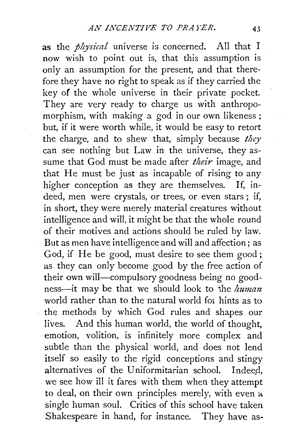as the *physical* universe is concerned. All that I now wish to point out is, that this assumption is only an assumption for the present, and that therefore they have no right to speak as if they carried the key of the whole universe in their private pocket. They are very ready to charge us with anthropomorphism, with making a god in our own likeness ; but, if it were worth while, it would be easy to retort the charge, and to shew that, simply because *they*  can see nothing but Law in the universe, they assume that God must be made after *their* image, and that He must be just as incapable of rising to any higher conception as they are themselves. If, indeed, men were crystals, or trees, or even stars; if, in short, they were merely material creatures without intelligence and will, it might be that the whole round of their motives and actions should be ruled by law. But as men have intelligence and will and affection; as God, if He be good, must desire to see them good; as they can only become good by the free action of their own will-compulsory goodness being no goodness-it may be that we should look to "ihe *human*  world rather than to the natural world for hints as to the methods by which God rules and shapes our lives. And this human world, the world of thought, emotion, volition, is infinitely more complex and subtle than the physical world, and does not lend itself so easily to the rigid conceptions and stingy alternatives of the Uniformitarian school. Indeed, we see how ill it fares with them when they attempt to deal, on their own principles merely, with even a single human soul. Critics of this school have taken Shakespeare in hand, for instance. They have as-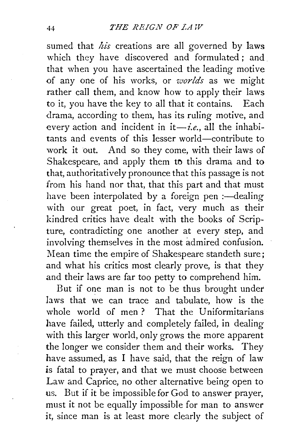sumed that *his* creations are all governed by laws which they have discovered and formulated; and that when you have ascertained the leading motive of any one of his works, or *worlds* as we might rather call them, and know how to apply their laws to it, you have the key to all that it contains. Each drama, according to them, has its ruling motive, and every action and incident in  $i\rightarrow i.e$ , all the inhabitants and events of this lesser world-contribute to work it out. And so they come, with their laws of Shakespeare, and apply them to this drama and to that, authoritatively pronounce that this passage is not from his hand nor that, that this part and that must have been interpolated by a foreign pen  $:$ —dealing with our great poet, in fact, very much as their kindred critics have dealt with the books of Scripture, contradicting one another at every step, and involving themselves in the most admired confusion. Mean time the empire of Shakespeare standeth sure; and what his critics most clearly prove, is that they and their laws are far too petty to comprehend him.

But if one man is not to be thus brought under laws that we can trace and tabulate, how is the whole world of men? That the Uniformitarians have failed, utterly and completely failed, in dealing with this larger world, only grows the more apparent the longer we consider them and their works. They have assumed, as I have said, that the reign of law is fatal to prayer, and that we must choose between Law and Caprice, no other alternative being open to us. But if it be impossible for God to answer prayer, must it not be equally impossible for man to answer it, since man is at least more clearly the subject of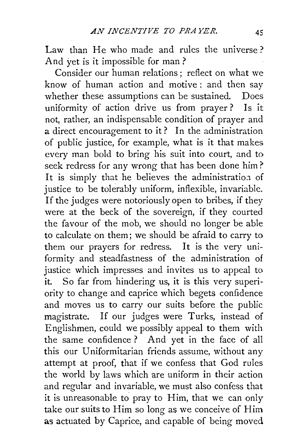Law than He who made and rules the universe? And yet is it impossible for man?

Consider our human relations ; reflect on what we know of human action and motive : and then say whether these assumptions can be sustained. Does uniformity of action drive us from prayer? Is it not, rather, an indispensable condition of prayer and a direct encouragement to it ? In the administration of public justice, for example, what is it that makes every man bold to bring his suit into court, and to seek redress for any wrong that has been done him? It is simply that he believes the administration of justice to be tolerably uniform, inflexible, invariable. If the judges were notoriously open to bribes, if they were at the beck of the sovereign, if they courted the favour of the mob, we should no longer be able to calculate on them; we should be afraid to carry to them our prayers for redress. It is the very uniformity and steadfastness of the administration of justice which impresses and invites us to appeal to it. So far from hindering us, it is this very superiority to change and caprice which begets confidence and moves us to carry our suits before the public magistrate. If our judges were Turks, instead of Englishmen, could we possibly appeal to them with the same confidence ? And yet in the face of all this our Uniformitarian friends assume, without any attempt at proof, that if we confess that God rules the world by laws which are uniform in their action and regular and invariable, we must also confess that it is unreasonable to pray to Him, that we can only take our suits to Him so long as we conceive of Him as actuated by Caprice, and capable of being moved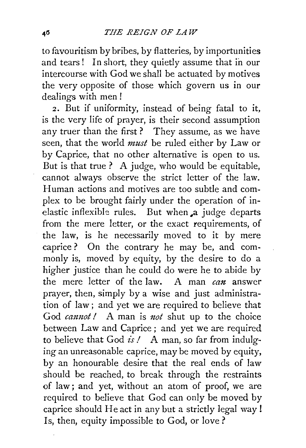to favouritism by bribes, by flatteries, by importunities and tears! In short, they quietly assume that in our intercourse with God we shall be actuated by motives the very opposite of those which govern us in our dealings with men !

*2.* But if uniformity, instead of being fatal to it, is the very life of prayer, is their second assumption any truer than the first? They assume, as we have seen, that the world *must* be ruled either by Law or by Caprice, that no other alternative is open to us. But is that true ? A judge, who would be equitable, cannot always observe the strict letter of the law. Human actions and motives are too subtle and complex to be brought fairly under the operation of inelastic inflexible rules. But when a judge departs from the mere letter, or the exact requirements, of the law, is he necessarily moved to it by mere caprice? On the contrary he may be, and commonly is, moved by equity, by the desire to do a higher justice than he could do were he to abide by the mere letter of the law. A man *can* answer prayer, then, simply by a wise and just administration of law; and yet we are required to believe that God *cannot!* A man is *not* shut up to the choice between Law and Caprice; and yet we are required to believe that God *is!* A man, so far from indulging an unreasonable caprice, may be moved by equity, by an honourable desire that the real ends of law should be reached, to break through the restraints of law; and yet, without an atom of proof, we are required to believe that God can only be moved by caprice should He act in any but a strictly legal way! Is, then, equity impossible to God, or love?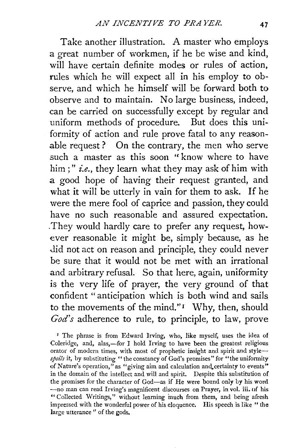Take another illustration. A master who employs a great number of workmen, if he be wise and kind, will have certain definite modes or rules of action, rules which he will expect all in his employ to observe, and which he himself will be forward both to observe and to maintain. No large business, indeed, can be carried on successfully except by regular and uniform methods of procedure. But does this uniformity of action and rule prove fatal to any reasonable request ? On the contrary, the men who serve such a master as this soon "know where to have him ; " *i.e.,* they learn what they may ask of him with a good hope of having their request granted, and what it will be utterly in vain for them to ask. If he were the mere fool of caprice and passion, they could have no such reasonable and assured expectation. . They would hardly care to prefer any request, however reasonable it might be, simply because, as he did not act on reason and principle, they could never be sure that it would not be met with an irrational and arbitrary refusal. So that here, again, uniformity is the very life of prayer, the very ground of that confident "anticipation which is both wind and sails to the movements of the mind." $I$  Why, then, should *God's* adherence to rule, to principle, to law, prove

*z* The phrase is from Edward Irving, who, like myself, uses the idea of Coleridge, and, alas,-for I hold Irving to have been the greatest religious orator of modern times, with most of prophetic insight and spirit and style*spoils* it, by substituting "the constancy of God's promises" for "the uniformity of Nature's operation," as "giving aim and calculation and certainty to events" in the domain of the intellect and will and spirit. Despite this substitution of the promises for the character of God-as if He were bound only by his word -no man can read Irving's magnificent discourses on Prayer, in vol. iii. of his "Collected Writings," without learning inuch from them, and being afresh impressed with the wonderful power of his eloquence. His speech is like " the large utterance " of the gods.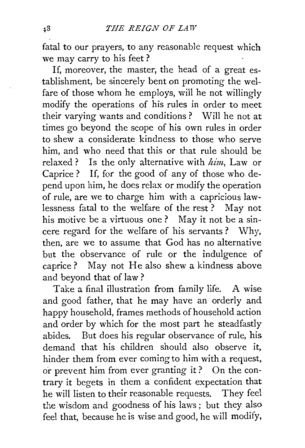fatal to our prayers, to any reasonable request which we may carry to his feet ?

If, moreover, the master, the head of a great establishment, be sincerely bent on promoting the welfare of those whom he employs, will he not willingly modify the operations of his rules in order to meet their varying wants and conditions ? Will he not at times go beyond the scope of his own rules in order to shew a considerate kindness to those who serve him, and who need that this or that rule should be relaxed? Is the only alternative with *him,* Law or Caprice? If, for the good of any of those who depend upon him, he does relax or modify the operation of rule, are we to charge him with a capricious lawlessness fatal to the welfare of the rest ? May not his motive be a virtuous one ? May it not be a sincere regard for the welfare of his servants ? Why, then, are we to assume that God has no alternative but the observance of rule or the indulgence of caprice? May not He also shew a kindness above and beyond that of law?

Take a final illustration from family life. A wise and good father, that he may have an orderly and happy household, frames methods of household action and order by which for the most part he steadfastly abides. But does his regular observance of rule, his demand that his children should also observe it, hinder them from ever coming to him with a request, or prevent him from ever granting it? On the contrary it begets in them a confident expectation that he will listen to their reasonable requests. They feel the wisdom and goodness of his laws ; but they also feel that, because he is wise and good, he will modify,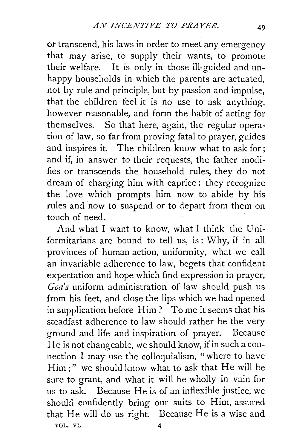or transcend, his laws in order to meet any emergency that may arise, to supply their wants, to promote their welfare. It is only in those ill-guided and unhappy households in which the parents are actuated, not by rule and principle, but by passion and impulse, that the children feel it is no use to ask anything, however reasonable, and form the habit of acting for themselves. So that here, again, the regular operation of law, so far from proving fatal to prayer, guides and inspires it. The children know what to ask for; and if, in answer to their requests, the father modifies or transcends the household rules, they do not dream of charging him with caprice : they recognize the love which prompts him now to abide by his rules and now to suspend or to depart from them on touch of need.

And what I want to know, what I think the Uniformitarians are bound to tell us, is: Why, if in all provinces of human action, uniformity, what we call an invariable adherence to law, begets that confident expectation and hope which find expression in prayer, *Goa's* uniform administration of law should push us from his feet, and close the lips which we had opened in supplication before Him? To me it seems that his steadfast adherence to law should rather be the very ground and life and inspiration of prayer. Because He is not changeable, we should know, if in such a connection I may use the colloquialism, "where to have Him;" we should know what to ask that He will be sure to grant, and what it will be wholly in vain for us to ask. Because He is of an inflexible justice, we should confidently bring our suits to Him, assured that He will do us right. Because He is a wise and VOL. VI. 4